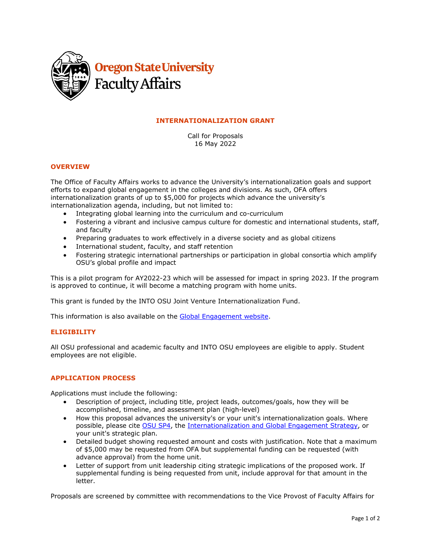

## **INTERNATIONALIZATION GRANT**

Call for Proposals 16 May 2022

### **OVERVIEW**

The Office of Faculty Affairs works to advance the University's internationalization goals and support efforts to expand global engagement in the colleges and divisions. As such, OFA offers internationalization grants of up to \$5,000 for projects which advance the university's internationalization agenda, including, but not limited to:

- Integrating global learning into the curriculum and co-curriculum
- Fostering a vibrant and inclusive campus culture for domestic and international students, staff, and faculty
- Preparing graduates to work effectively in a diverse society and as global citizens
- International student, faculty, and staff retention
- Fostering strategic international partnerships or participation in global consortia which amplify OSU's global profile and impact

This is a pilot program for AY2022-23 which will be assessed for impact in spring 2023. If the program is approved to continue, it will become a matching program with home units.

This grant is funded by the INTO OSU Joint Venture Internationalization Fund.

This information is also available on the [Global Engagement website.](https://global.oregonstate.edu/internationalization-grant-program)

#### **ELIGIBILITY**

All OSU professional and academic faculty and INTO OSU employees are eligible to apply. Student employees are not eligible.

#### **APPLICATION PROCESS**

Applications must include the following:

- Description of project, including title, project leads, outcomes/goals, how they will be accomplished, timeline, and assessment plan (high-level)
- How this proposal advances the university's or your unit's internationalization goals. Where possible, please cite [OSU SP4,](https://leadership.oregonstate.edu/strategic-plan) the [Internationalization and Global Engagement Strategy,](https://global.oregonstate.edu/internationalization-and-global-engagement-strategy) or your unit's strategic plan.
- Detailed budget showing requested amount and costs with justification. Note that a maximum of \$5,000 may be requested from OFA but supplemental funding can be requested (with advance approval) from the home unit.
- Letter of support from unit leadership citing strategic implications of the proposed work. If supplemental funding is being requested from unit, include approval for that amount in the letter.

Proposals are screened by committee with recommendations to the Vice Provost of Faculty Affairs for